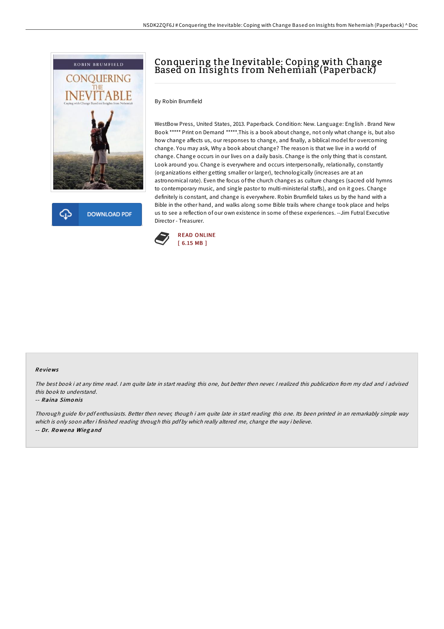

**DOWNLOAD PDF** 

# Conquering the Inevitable: Coping with Change Based on Insights from Nehemiah (Paperback)

### By Robin Brumfield

WestBow Press, United States, 2013. Paperback. Condition: New. Language: English . Brand New Book \*\*\*\*\* Print on Demand \*\*\*\*\*.This is a book about change, not only what change is, but also how change affects us, our responses to change, and finally, a biblical model for overcoming change. You may ask, Why a book about change? The reason is that we live in a world of change. Change occurs in our lives on a daily basis. Change is the only thing that is constant. Look around you. Change is everywhere and occurs interpersonally, relationally, constantly (organizations either getting smaller or larger), technologically (increases are at an astronomical rate). Even the focus of the church changes as culture changes (sacred old hymns to contemporary music, and single pastor to multi-ministerial staffs), and on it goes. Change definitely is constant, and change is everywhere. Robin Brumfield takes us by the hand with a Bible in the other hand, and walks along some Bible trails where change took place and helps us to see a reflection of our own existence in some of these experiences. --Jim Futral Executive Director - Treasurer.



#### Re views

The best book i at any time read. <sup>I</sup> am quite late in start reading this one, but better then never. <sup>I</sup> realized this publication from my dad and i advised this book to understand.

#### -- Raina Simo nis

Thorough guide for pdf enthusiasts. Better then never, though i am quite late in start reading this one. Its been printed in an remarkably simple way which is only soon after i finished reading through this pdf by which really altered me, change the way i believe. -- Dr. Ro wena Wieg and